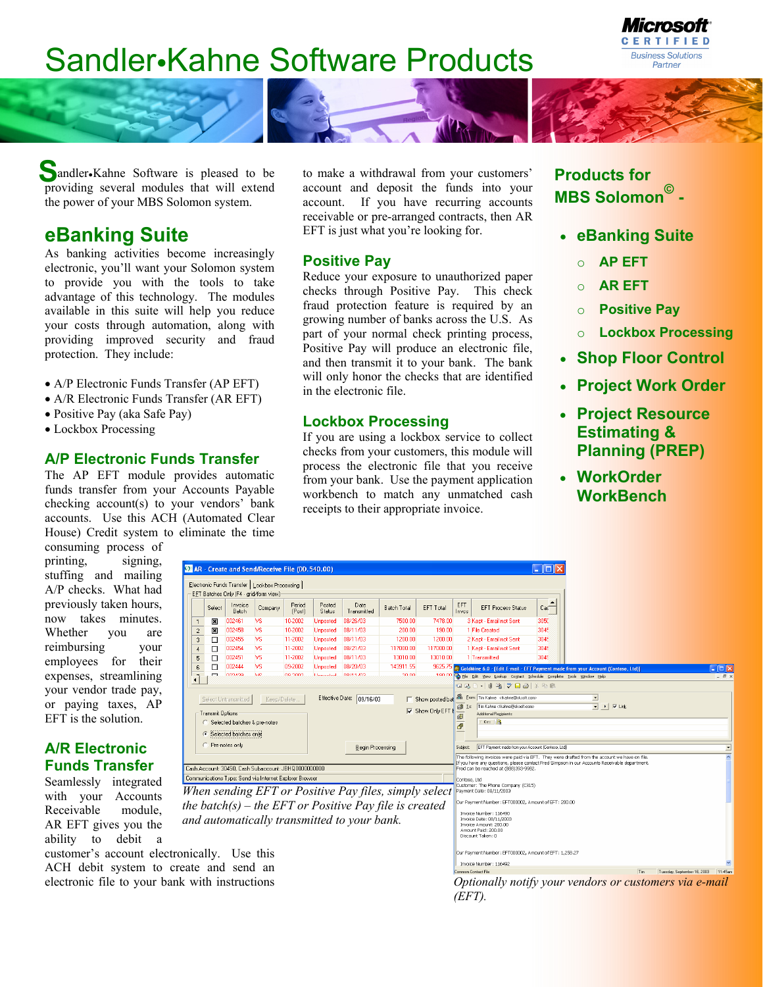# Sandler•Kahne Software Products



Sandler•Kahne Software is pleased to be pro viding several modules that will extend the power of your MBS Solomon system.

## **eBanking Suite**

As banking activities become increasingly electronic, you'll want your Solomon system to provide you with the tools to take advantage of this technology. The modules available in this suite will help you reduce your costs through automation, along with providing improved security and fraud protection. They include:

- A/P Electronic Funds Transfer (AP EFT)
- A/R Electronic Funds Transfer (AR EFT)
- Positive Pay (aka Safe Pay)
- Lockbox Processing

### **A/P Electronic Funds Transfer**

The AP EFT module provides automatic funds transfer from your Accounts Payable checking account(s) to your vendors' bank accounts. Use this ACH (Automated Clear House) Credit system to eliminate the time

consuming process of printing, signing, stuffing and mailing A/P checks. What had previously taken hours, now takes minutes. Whether you are reimbursing your employees for their expenses, streamlining your vendor trade pay, or paying taxes, AP EFT is the solution.

### **A/R Electronic Funds Transfer**

Seamlessly integrated with your Accounts Receivable module, AR EFT gives you the ability to debit a

customer's account electronic ACH debit system to cre electronic file to your bank

to make a withdrawal from your customers' account and deposit the funds into your account. If you have recurring accounts receivable or pre-arranged contracts, then AR EFT is just what you're looking for.

### **Positive Pay**

Reduce your exposure to unauthorized paper checks through Positive Pay. This check fraud protection feature is required by an growing number of banks across the U.S. As part of your normal check printing process, Positive Pay will produce an electronic file, and then transmit it to your bank. The bank will only honor the checks that are identified in the electronic file.

### **Lockbox Processing**

If you are using a lockbox service to collect checks from your customers, this module will process the electronic file that you receive from your bank. Use the payment application workbench to match any unmatched cash receipts to their appropriate invoice.

### **Products for MBS Solomon© -**

- **eBanking Suite**
	- o **AP EFT**
	- o **AR EFT**
	- o **Positive Pay**
	- o **Lockbox Processing**
- **Shop Floor Control**
- **Project Work Order**
- **Project Resource Estimating & Planning (PREP)**
- **WorkOrder WorkBench**

| <b>D</b> AR - Create and Send/Receive File (DD.540.00)                                                                                                                                                                                                              |        |                  |                                                         |                  |                  |                                             |                                                                                                                 |                  |                                                                                                                                                                                                                                                                                                                                                                                                                                                                                                                                                                                                                                        |                                                                   |                                               |                                                                                                  |  |  |
|---------------------------------------------------------------------------------------------------------------------------------------------------------------------------------------------------------------------------------------------------------------------|--------|------------------|---------------------------------------------------------|------------------|------------------|---------------------------------------------|-----------------------------------------------------------------------------------------------------------------|------------------|----------------------------------------------------------------------------------------------------------------------------------------------------------------------------------------------------------------------------------------------------------------------------------------------------------------------------------------------------------------------------------------------------------------------------------------------------------------------------------------------------------------------------------------------------------------------------------------------------------------------------------------|-------------------------------------------------------------------|-----------------------------------------------|--------------------------------------------------------------------------------------------------|--|--|
| Electronic Funds Transfer   Lockbox Processing  <br>EFT Batches Only (F4 - grid/form view)                                                                                                                                                                          |        |                  |                                                         |                  |                  |                                             |                                                                                                                 |                  |                                                                                                                                                                                                                                                                                                                                                                                                                                                                                                                                                                                                                                        |                                                                   |                                               |                                                                                                  |  |  |
|                                                                                                                                                                                                                                                                     | Select | Invoice<br>Batch | Company                                                 | Period<br>(Post) | Posted<br>Status | Date<br>Transmitted                         | <b>Batch Total</b>                                                                                              | <b>EFT Total</b> | EFT<br>Inves                                                                                                                                                                                                                                                                                                                                                                                                                                                                                                                                                                                                                           | <b>EFT Process Status</b>                                         | Cas                                           |                                                                                                  |  |  |
|                                                                                                                                                                                                                                                                     | ⊠      | 002461           | VS.                                                     | 10-2002          | Unposted         | 08/26/03                                    | 7500.00                                                                                                         | 7478.00          |                                                                                                                                                                                                                                                                                                                                                                                                                                                                                                                                                                                                                                        | 3 Kept - Email not Sent                                           | 3050                                          |                                                                                                  |  |  |
| $\overline{c}$                                                                                                                                                                                                                                                      | 回      | 002458           | VS.                                                     | 10-2002          | <b>Unposted</b>  | 08/11/03                                    | 200.00                                                                                                          | 190.00           |                                                                                                                                                                                                                                                                                                                                                                                                                                                                                                                                                                                                                                        | 1 File Created                                                    | 3045                                          |                                                                                                  |  |  |
| 3                                                                                                                                                                                                                                                                   | □      | 002455           | <b>VS</b>                                               | 11-2002          | <b>Unposted</b>  | 08/11/03                                    | 1200.00                                                                                                         | 1200.00          |                                                                                                                                                                                                                                                                                                                                                                                                                                                                                                                                                                                                                                        | 2 Kept - Email not Sent                                           | 3045                                          |                                                                                                  |  |  |
|                                                                                                                                                                                                                                                                     | п      | 002454           | VS.                                                     | 11-2002          | <b>Unposted</b>  | 08/21/03                                    | 117000.00                                                                                                       | 117000.00        |                                                                                                                                                                                                                                                                                                                                                                                                                                                                                                                                                                                                                                        | 1 Kept - Email not Sent                                           | 3045                                          |                                                                                                  |  |  |
| 5                                                                                                                                                                                                                                                                   | □      | 002451           | <b>VS</b>                                               | 11-2002          | <b>Unposted</b>  | 08/11/03                                    | 13010.00                                                                                                        | 13010.00         |                                                                                                                                                                                                                                                                                                                                                                                                                                                                                                                                                                                                                                        | 1 Transmitted                                                     | 3045                                          |                                                                                                  |  |  |
| $\sqrt{6}$                                                                                                                                                                                                                                                          | □      | 002444           | <b>VS</b>                                               | 09-2002          | <b>Unposted</b>  | 08/20/03                                    | 143911.55                                                                                                       |                  |                                                                                                                                                                                                                                                                                                                                                                                                                                                                                                                                                                                                                                        |                                                                   |                                               | 9625.75 GoldMine 6.0 [Edit E-mail - EFT Payment made from your Account (Contoso, Ltd)]<br>– ∥⊡∥× |  |  |
| $\sqrt{2}$                                                                                                                                                                                                                                                          | ſ      | 003429           | V/C                                                     | no pnno          | <b>Hennabad</b>  | 00/11/02                                    | 20.00                                                                                                           | 100.00           |                                                                                                                                                                                                                                                                                                                                                                                                                                                                                                                                                                                                                                        | File Edit View Lookup Contact Schedule Complete Tools Window Help |                                               | - 日)                                                                                             |  |  |
|                                                                                                                                                                                                                                                                     |        |                  |                                                         |                  |                  |                                             |                                                                                                                 |                  | <b>GIFT</b>                                                                                                                                                                                                                                                                                                                                                                                                                                                                                                                                                                                                                            | -     「「「「「「「「」 」 」 》 『『                                          |                                               |                                                                                                  |  |  |
| Effective Date: 09/16/03<br>Select Untransmitted<br>Keep/Delete.<br>Show Only EFT<br>Transmit Options:<br>C Selected batches & pre-notes<br>G Selected batches only<br>C Pre-notes only<br>Begin Processing<br>Cash Account: 30450, Cash Subaccount: JBHQ0000000000 |        |                  |                                                         |                  |                  |                                             |                                                                                                                 |                  | Show posted bat & Erom: Tim Kahne <tkahne@sksoft.com><br/><math>\overline{ }</math><br/><math>\overline{\phantom{a}}</math><br/><math>\triangleright</math> <math>\triangleright</math> Link<br/>Tim Kahne <tkahne@sksoft.com><br/>@ I∝<br/>Additional Recipients:<br/>佢<br/>đ<br/>EFT Payment made from your Account (Contoso, Ltd)<br/>Subject:<br/>The following invoices were paid via EFT. They were drafted from the account we have on file.<br/>If you have any questions, please contact Fred Simpson in our Accounts Receivable department<br/>Fred can be reached at (888)393-9982.</tkahne@sksoft.com></tkahne@sksoft.com> |                                                                   |                                               |                                                                                                  |  |  |
|                                                                                                                                                                                                                                                                     |        |                  | Communications Type: Send via Internet Explorer Browser |                  |                  |                                             |                                                                                                                 |                  |                                                                                                                                                                                                                                                                                                                                                                                                                                                                                                                                                                                                                                        |                                                                   |                                               |                                                                                                  |  |  |
|                                                                                                                                                                                                                                                                     |        |                  |                                                         |                  |                  | and automatically transmitted to your bank. | When sending EFT or Positive Pay files, simply select<br>the batch(s) – the EFT or Positive Pay file is created |                  | Contoso, Ltd<br>Customer: The Phone Company (C315)<br>Payment Date: 08/11/2003<br>Our Payment Number: EFT000002, Amount of EFT: 200.00<br>Invoice Number: 116490<br>Invoice Date: 08/11/2003<br>Invoice Amount: 200.00<br>Amount Paid: 200.00<br>Discount Taken: 0                                                                                                                                                                                                                                                                                                                                                                     |                                                                   |                                               |                                                                                                  |  |  |
| nically. Use this                                                                                                                                                                                                                                                   |        |                  |                                                         |                  |                  |                                             |                                                                                                                 |                  |                                                                                                                                                                                                                                                                                                                                                                                                                                                                                                                                                                                                                                        | Our Payment Number: EFT000002, Amount of EFT: 1,258.27            |                                               |                                                                                                  |  |  |
|                                                                                                                                                                                                                                                                     |        |                  |                                                         |                  |                  |                                             |                                                                                                                 |                  |                                                                                                                                                                                                                                                                                                                                                                                                                                                                                                                                                                                                                                        | Invoice Number: 116492                                            |                                               |                                                                                                  |  |  |
| eate and send an                                                                                                                                                                                                                                                    |        |                  |                                                         |                  |                  |                                             |                                                                                                                 |                  | Common Contact File                                                                                                                                                                                                                                                                                                                                                                                                                                                                                                                                                                                                                    |                                                                   | Tim<br>Tuesday, September 16, 2003<br>11:45am |                                                                                                  |  |  |
| c with instructions                                                                                                                                                                                                                                                 |        |                  |                                                         |                  |                  |                                             |                                                                                                                 |                  |                                                                                                                                                                                                                                                                                                                                                                                                                                                                                                                                                                                                                                        | Optionally notify your vendors or customers via e-mail            |                                               |                                                                                                  |  |  |

*Optionally notify your vendors or customers via e-mail (EFT).*